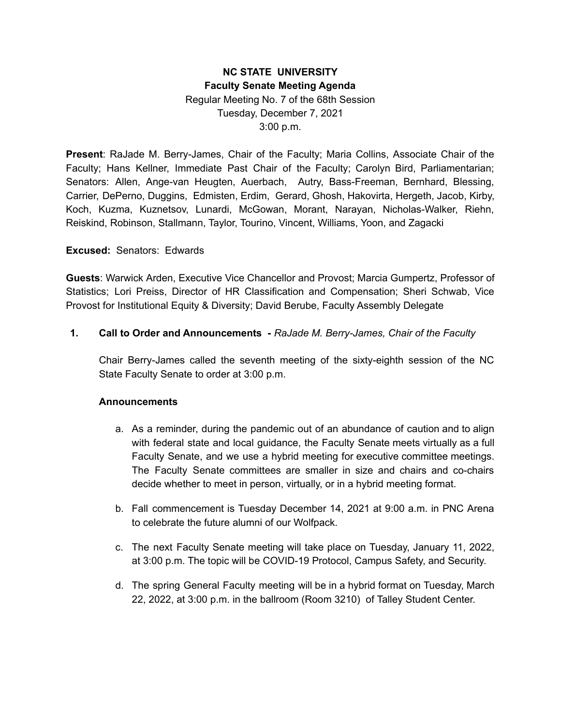# **NC STATE UNIVERSITY Faculty Senate Meeting Agenda** Regular Meeting No. 7 of the 68th Session Tuesday, December 7, 2021 3:00 p.m.

**Present**: RaJade M. Berry-James, Chair of the Faculty; Maria Collins, Associate Chair of the Faculty; Hans Kellner, Immediate Past Chair of the Faculty; Carolyn Bird, Parliamentarian; Senators: Allen, Ange-van Heugten, Auerbach, Autry, Bass-Freeman, Bernhard, Blessing, Carrier, DePerno, Duggins, Edmisten, Erdim, Gerard, Ghosh, Hakovirta, Hergeth, Jacob, Kirby, Koch, Kuzma, Kuznetsov, Lunardi, McGowan, Morant, Narayan, Nicholas-Walker, Riehn, Reiskind, Robinson, Stallmann, Taylor, Tourino, Vincent, Williams, Yoon, and Zagacki

### **Excused:** Senators: Edwards

**Guests**: Warwick Arden, Executive Vice Chancellor and Provost; Marcia Gumpertz, Professor of Statistics; Lori Preiss, Director of HR Classification and Compensation; Sheri Schwab, Vice Provost for Institutional Equity & Diversity; David Berube, Faculty Assembly Delegate

### **1. Call to Order and Announcements -** *RaJade M. Berry-James, Chair of the Faculty*

Chair Berry-James called the seventh meeting of the sixty-eighth session of the NC State Faculty Senate to order at 3:00 p.m.

#### **Announcements**

- a. As a reminder, during the pandemic out of an abundance of caution and to align with federal state and local guidance, the Faculty Senate meets virtually as a full Faculty Senate, and we use a hybrid meeting for executive committee meetings. The Faculty Senate committees are smaller in size and chairs and co-chairs decide whether to meet in person, virtually, or in a hybrid meeting format.
- b. Fall commencement is Tuesday December 14, 2021 at 9:00 a.m. in PNC Arena to celebrate the future alumni of our Wolfpack.
- c. The next Faculty Senate meeting will take place on Tuesday, January 11, 2022, at 3:00 p.m. The topic will be COVID-19 Protocol, Campus Safety, and Security.
- d. The spring General Faculty meeting will be in a hybrid format on Tuesday, March 22, 2022, at 3:00 p.m. in the ballroom (Room 3210) of Talley Student Center.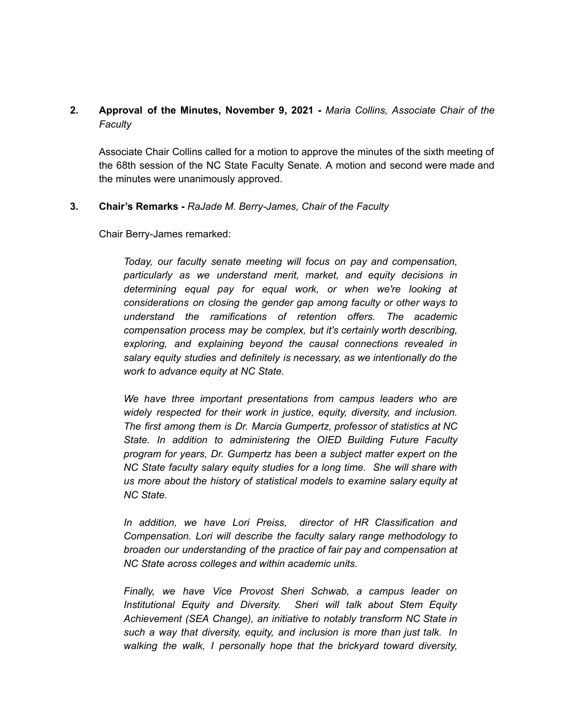# **2. Approval of the Minutes, November 9, 2021 -** *Maria Collins, Associate Chair of the Faculty*

Associate Chair Collins called for a motion to approve the minutes of the sixth meeting of the 68th session of the NC State Faculty Senate. A motion and second were made and the minutes were unanimously approved.

#### **3. Chair's Remarks -** *RaJade M. Berry-James, Chair of the Faculty*

Chair Berry-James remarked:

*Today, our faculty senate meeting will focus on pay and compensation, particularly as we understand merit, market, and equity decisions in determining equal pay for equal work, or when we're looking at considerations on closing the gender gap among faculty or other ways to understand the ramifications of retention offers. The academic compensation process may be complex, but it's certainly worth describing, exploring, and explaining beyond the causal connections revealed in salary equity studies and definitely is necessary, as we intentionally do the work to advance equity at NC State.*

*We have three important presentations from campus leaders who are widely respected for their work in justice, equity, diversity, and inclusion. The first among them is Dr. Marcia Gumpertz, professor of statistics at NC State. In addition to administering the OIED Building Future Faculty program for years, Dr. Gumpertz has been a subject matter expert on the NC State faculty salary equity studies for a long time. She will share with us more about the history of statistical models to examine salary equity at NC State.*

*In addition, we have Lori Preiss, director of HR Classification and Compensation. Lori will describe the faculty salary range methodology to broaden our understanding of the practice of fair pay and compensation at NC State across colleges and within academic units.*

*Finally, we have Vice Provost Sheri Schwab, a campus leader on Institutional Equity and Diversity. Sheri will talk about Stem Equity Achievement (SEA Change), an initiative to notably transform NC State in such a way that diversity, equity, and inclusion is more than just talk. In walking the walk, I personally hope that the brickyard toward diversity,*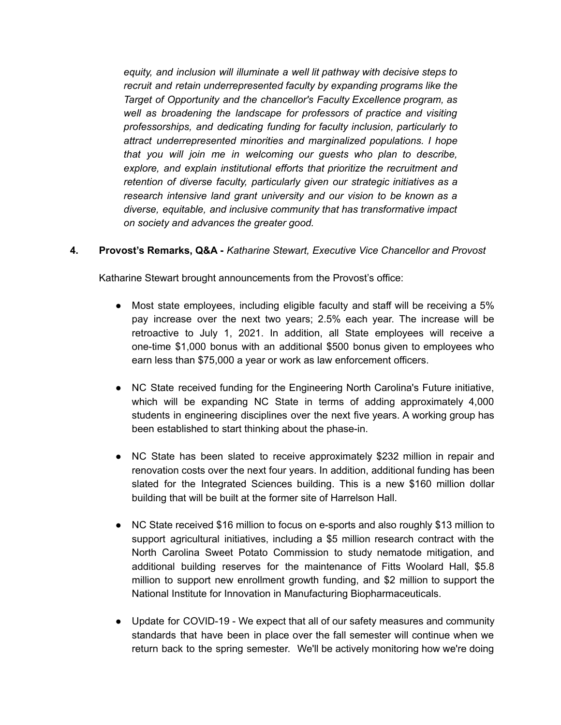*equity, and inclusion will illuminate a well lit pathway with decisive steps to recruit and retain underrepresented faculty by expanding programs like the Target of Opportunity and the chancellor's Faculty Excellence program, as well as broadening the landscape for professors of practice and visiting professorships, and dedicating funding for faculty inclusion, particularly to attract underrepresented minorities and marginalized populations. I hope that you will join me in welcoming our guests who plan to describe, explore, and explain institutional efforts that prioritize the recruitment and retention of diverse faculty, particularly given our strategic initiatives as a research intensive land grant university and our vision to be known as a diverse, equitable, and inclusive community that has transformative impact on society and advances the greater good.*

**4. Provost's Remarks, Q&A -** *Katharine Stewart, Executive Vice Chancellor and Provost*

Katharine Stewart brought announcements from the Provost's office:

- Most state employees, including eligible faculty and staff will be receiving a 5% pay increase over the next two years; 2.5% each year. The increase will be retroactive to July 1, 2021. In addition, all State employees will receive a one-time \$1,000 bonus with an additional \$500 bonus given to employees who earn less than \$75,000 a year or work as law enforcement officers.
- NC State received funding for the Engineering North Carolina's Future initiative, which will be expanding NC State in terms of adding approximately 4,000 students in engineering disciplines over the next five years. A working group has been established to start thinking about the phase-in.
- NC State has been slated to receive approximately \$232 million in repair and renovation costs over the next four years. In addition, additional funding has been slated for the Integrated Sciences building. This is a new \$160 million dollar building that will be built at the former site of Harrelson Hall.
- NC State received \$16 million to focus on e-sports and also roughly \$13 million to support agricultural initiatives, including a \$5 million research contract with the North Carolina Sweet Potato Commission to study nematode mitigation, and additional building reserves for the maintenance of Fitts Woolard Hall, \$5.8 million to support new enrollment growth funding, and \$2 million to support the National Institute for Innovation in Manufacturing Biopharmaceuticals.
- Update for COVID-19 We expect that all of our safety measures and community standards that have been in place over the fall semester will continue when we return back to the spring semester. We'll be actively monitoring how we're doing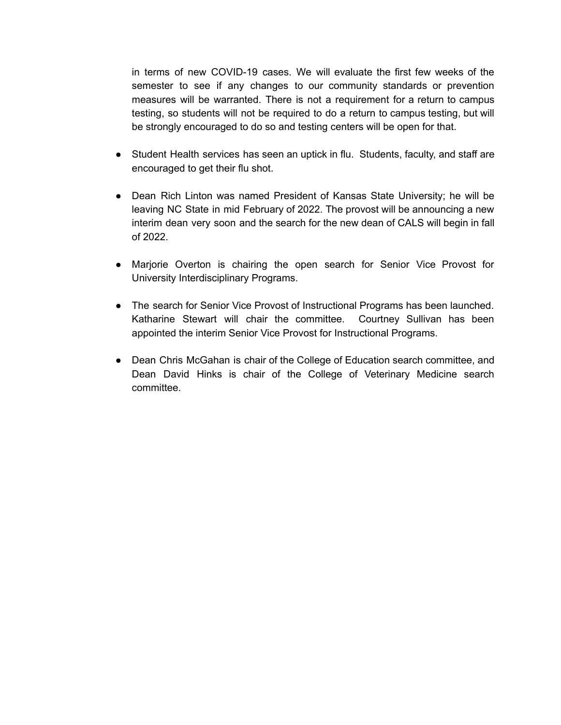in terms of new COVID-19 cases. We will evaluate the first few weeks of the semester to see if any changes to our community standards or prevention measures will be warranted. There is not a requirement for a return to campus testing, so students will not be required to do a return to campus testing, but will be strongly encouraged to do so and testing centers will be open for that.

- Student Health services has seen an uptick in flu. Students, faculty, and staff are encouraged to get their flu shot.
- Dean Rich Linton was named President of Kansas State University; he will be leaving NC State in mid February of 2022. The provost will be announcing a new interim dean very soon and the search for the new dean of CALS will begin in fall of 2022.
- Marjorie Overton is chairing the open search for Senior Vice Provost for University Interdisciplinary Programs.
- The search for Senior Vice Provost of Instructional Programs has been launched. Katharine Stewart will chair the committee. Courtney Sullivan has been appointed the interim Senior Vice Provost for Instructional Programs.
- Dean Chris McGahan is chair of the College of Education search committee, and Dean David Hinks is chair of the College of Veterinary Medicine search committee.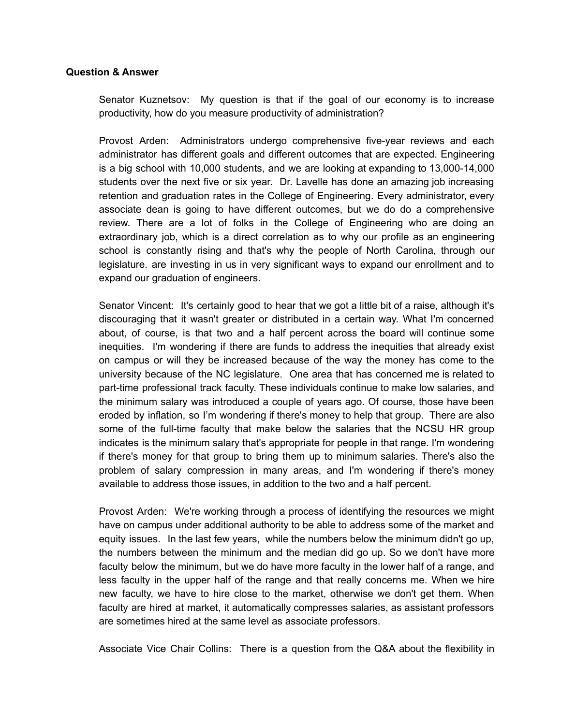#### **Question & Answer**

Senator Kuznetsov: My question is that if the goal of our economy is to increase productivity, how do you measure productivity of administration?

Provost Arden: Administrators undergo comprehensive five-year reviews and each administrator has different goals and different outcomes that are expected. Engineering is a big school with 10,000 students, and we are looking at expanding to 13,000-14,000 students over the next five or six year. Dr. Lavelle has done an amazing job increasing retention and graduation rates in the College of Engineering. Every administrator, every associate dean is going to have different outcomes, but we do do a comprehensive review. There are a lot of folks in the College of Engineering who are doing an extraordinary job, which is a direct correlation as to why our profile as an engineering school is constantly rising and that's why the people of North Carolina, through our legislature. are investing in us in very significant ways to expand our enrollment and to expand our graduation of engineers.

Senator Vincent: It's certainly good to hear that we got a little bit of a raise, although it's discouraging that it wasn't greater or distributed in a certain way. What I'm concerned about, of course, is that two and a half percent across the board will continue some inequities. I'm wondering if there are funds to address the inequities that already exist on campus or will they be increased because of the way the money has come to the university because of the NC legislature. One area that has concerned me is related to part-time professional track faculty. These individuals continue to make low salaries, and the minimum salary was introduced a couple of years ago. Of course, those have been eroded by inflation, so I'm wondering if there's money to help that group. There are also some of the full-time faculty that make below the salaries that the NCSU HR group indicates is the minimum salary that's appropriate for people in that range. I'm wondering if there's money for that group to bring them up to minimum salaries. There's also the problem of salary compression in many areas, and I'm wondering if there's money available to address those issues, in addition to the two and a half percent.

Provost Arden: We're working through a process of identifying the resources we might have on campus under additional authority to be able to address some of the market and equity issues. In the last few years, while the numbers below the minimum didn't go up, the numbers between the minimum and the median did go up. So we don't have more faculty below the minimum, but we do have more faculty in the lower half of a range, and less faculty in the upper half of the range and that really concerns me. When we hire new faculty, we have to hire close to the market, otherwise we don't get them. When faculty are hired at market, it automatically compresses salaries, as assistant professors are sometimes hired at the same level as associate professors.

Associate Vice Chair Collins: There is a question from the Q&A about the flexibility in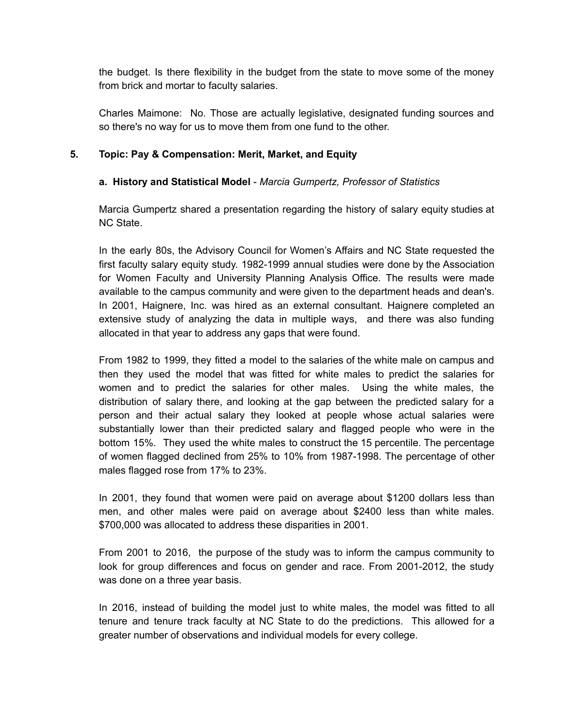the budget. Is there flexibility in the budget from the state to move some of the money from brick and mortar to faculty salaries.

Charles Maimone: No. Those are actually legislative, designated funding sources and so there's no way for us to move them from one fund to the other.

## **5. Topic: Pay & Compensation: Merit, Market, and Equity**

### **a. History and Statistical Model** - *Marcia Gumpertz, Professor of Statistics*

Marcia Gumpertz shared a presentation regarding the history of salary equity studies at NC State.

In the early 80s, the Advisory Council for Women's Affairs and NC State requested the first faculty salary equity study. 1982-1999 annual studies were done by the Association for Women Faculty and University Planning Analysis Office. The results were made available to the campus community and were given to the department heads and dean's. In 2001, Haignere, Inc. was hired as an external consultant. Haignere completed an extensive study of analyzing the data in multiple ways, and there was also funding allocated in that year to address any gaps that were found.

From 1982 to 1999, they fitted a model to the salaries of the white male on campus and then they used the model that was fitted for white males to predict the salaries for women and to predict the salaries for other males. Using the white males, the distribution of salary there, and looking at the gap between the predicted salary for a person and their actual salary they looked at people whose actual salaries were substantially lower than their predicted salary and flagged people who were in the bottom 15%. They used the white males to construct the 15 percentile. The percentage of women flagged declined from 25% to 10% from 1987-1998. The percentage of other males flagged rose from 17% to 23%.

In 2001, they found that women were paid on average about \$1200 dollars less than men, and other males were paid on average about \$2400 less than white males. \$700,000 was allocated to address these disparities in 2001.

From 2001 to 2016, the purpose of the study was to inform the campus community to look for group differences and focus on gender and race. From 2001-2012, the study was done on a three year basis.

In 2016, instead of building the model just to white males, the model was fitted to all tenure and tenure track faculty at NC State to do the predictions. This allowed for a greater number of observations and individual models for every college.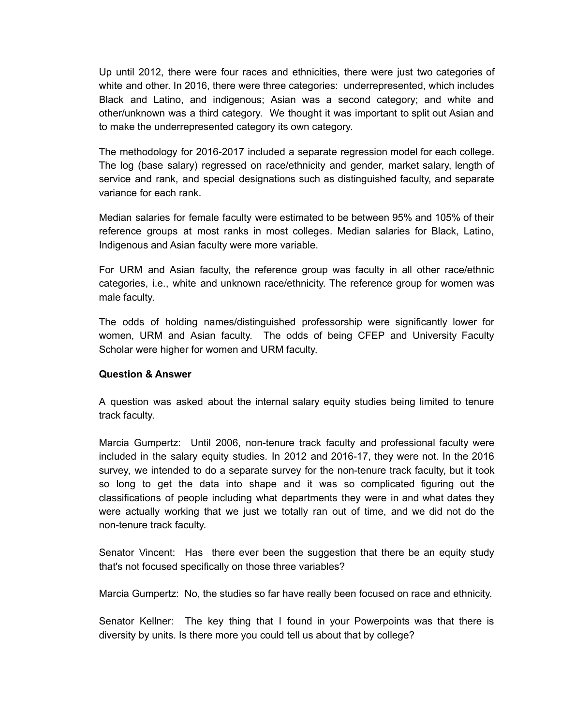Up until 2012, there were four races and ethnicities, there were just two categories of white and other. In 2016, there were three categories: underrepresented, which includes Black and Latino, and indigenous; Asian was a second category; and white and other/unknown was a third category. We thought it was important to split out Asian and to make the underrepresented category its own category.

The methodology for 2016-2017 included a separate regression model for each college. The log (base salary) regressed on race/ethnicity and gender, market salary, length of service and rank, and special designations such as distinguished faculty, and separate variance for each rank.

Median salaries for female faculty were estimated to be between 95% and 105% of their reference groups at most ranks in most colleges. Median salaries for Black, Latino, Indigenous and Asian faculty were more variable.

For URM and Asian faculty, the reference group was faculty in all other race/ethnic categories, i.e., white and unknown race/ethnicity. The reference group for women was male faculty.

The odds of holding names/distinguished professorship were significantly lower for women, URM and Asian faculty. The odds of being CFEP and University Faculty Scholar were higher for women and URM faculty.

### **Question & Answer**

A question was asked about the internal salary equity studies being limited to tenure track faculty.

Marcia Gumpertz: Until 2006, non-tenure track faculty and professional faculty were included in the salary equity studies. In 2012 and 2016-17, they were not. In the 2016 survey, we intended to do a separate survey for the non-tenure track faculty, but it took so long to get the data into shape and it was so complicated figuring out the classifications of people including what departments they were in and what dates they were actually working that we just we totally ran out of time, and we did not do the non-tenure track faculty.

Senator Vincent: Has there ever been the suggestion that there be an equity study that's not focused specifically on those three variables?

Marcia Gumpertz: No, the studies so far have really been focused on race and ethnicity.

Senator Kellner: The key thing that I found in your Powerpoints was that there is diversity by units. Is there more you could tell us about that by college?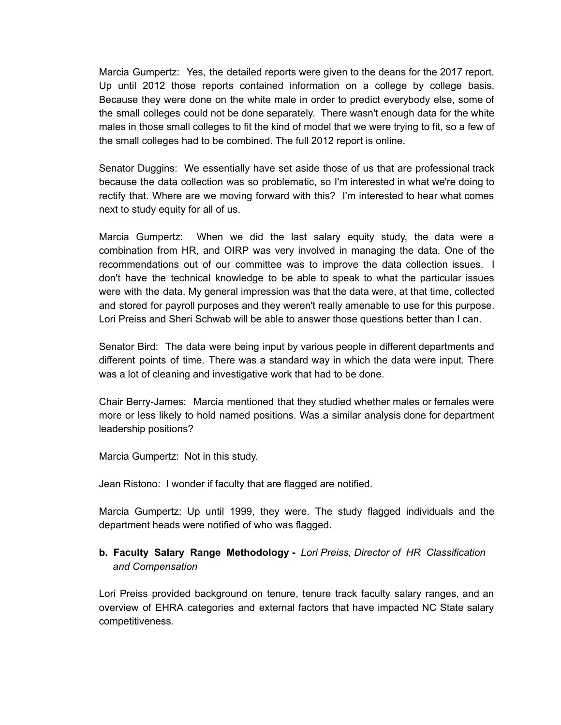Marcia Gumpertz: Yes, the detailed reports were given to the deans for the 2017 report. Up until 2012 those reports contained information on a college by college basis. Because they were done on the white male in order to predict everybody else, some of the small colleges could not be done separately. There wasn't enough data for the white males in those small colleges to fit the kind of model that we were trying to fit, so a few of the small colleges had to be combined. The full 2012 report is online.

Senator Duggins: We essentially have set aside those of us that are professional track because the data collection was so problematic, so I'm interested in what we're doing to rectify that. Where are we moving forward with this? I'm interested to hear what comes next to study equity for all of us.

Marcia Gumpertz: When we did the last salary equity study, the data were a combination from HR, and OIRP was very involved in managing the data. One of the recommendations out of our committee was to improve the data collection issues. I don't have the technical knowledge to be able to speak to what the particular issues were with the data. My general impression was that the data were, at that time, collected and stored for payroll purposes and they weren't really amenable to use for this purpose. Lori Preiss and Sheri Schwab will be able to answer those questions better than I can.

Senator Bird: The data were being input by various people in different departments and different points of time. There was a standard way in which the data were input. There was a lot of cleaning and investigative work that had to be done.

Chair Berry-James: Marcia mentioned that they studied whether males or females were more or less likely to hold named positions. Was a similar analysis done for department leadership positions?

Marcia Gumpertz: Not in this study.

Jean Ristono: I wonder if faculty that are flagged are notified.

Marcia Gumpertz: Up until 1999, they were. The study flagged individuals and the department heads were notified of who was flagged.

# **b. Faculty Salary Range Methodology -** *Lori Preiss, Director of HR Classification and Compensation*

Lori Preiss provided background on tenure, tenure track faculty salary ranges, and an overview of EHRA categories and external factors that have impacted NC State salary competitiveness.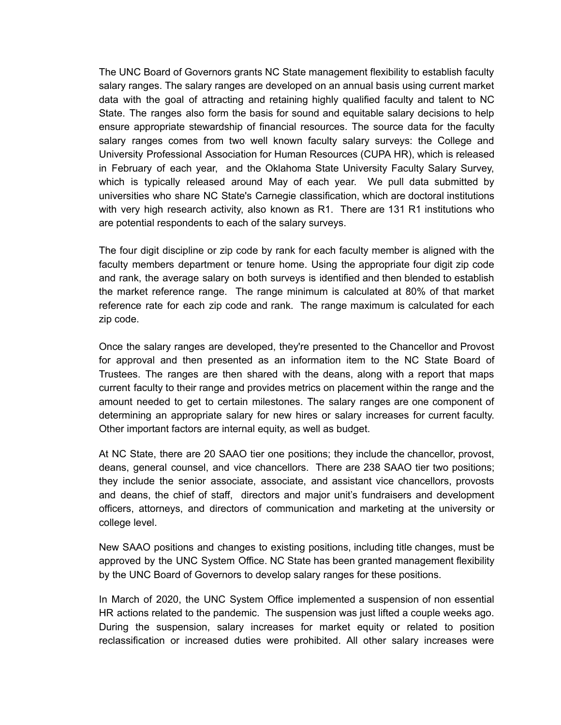The UNC Board of Governors grants NC State management flexibility to establish faculty salary ranges. The salary ranges are developed on an annual basis using current market data with the goal of attracting and retaining highly qualified faculty and talent to NC State. The ranges also form the basis for sound and equitable salary decisions to help ensure appropriate stewardship of financial resources. The source data for the faculty salary ranges comes from two well known faculty salary surveys: the College and University Professional Association for Human Resources (CUPA HR), which is released in February of each year, and the Oklahoma State University Faculty Salary Survey, which is typically released around May of each year. We pull data submitted by universities who share NC State's Carnegie classification, which are doctoral institutions with very high research activity, also known as R1. There are 131 R1 institutions who are potential respondents to each of the salary surveys.

The four digit discipline or zip code by rank for each faculty member is aligned with the faculty members department or tenure home. Using the appropriate four digit zip code and rank, the average salary on both surveys is identified and then blended to establish the market reference range. The range minimum is calculated at 80% of that market reference rate for each zip code and rank. The range maximum is calculated for each zip code.

Once the salary ranges are developed, they're presented to the Chancellor and Provost for approval and then presented as an information item to the NC State Board of Trustees. The ranges are then shared with the deans, along with a report that maps current faculty to their range and provides metrics on placement within the range and the amount needed to get to certain milestones. The salary ranges are one component of determining an appropriate salary for new hires or salary increases for current faculty. Other important factors are internal equity, as well as budget.

At NC State, there are 20 SAAO tier one positions; they include the chancellor, provost, deans, general counsel, and vice chancellors. There are 238 SAAO tier two positions; they include the senior associate, associate, and assistant vice chancellors, provosts and deans, the chief of staff, directors and major unit's fundraisers and development officers, attorneys, and directors of communication and marketing at the university or college level.

New SAAO positions and changes to existing positions, including title changes, must be approved by the UNC System Office. NC State has been granted management flexibility by the UNC Board of Governors to develop salary ranges for these positions.

In March of 2020, the UNC System Office implemented a suspension of non essential HR actions related to the pandemic. The suspension was just lifted a couple weeks ago. During the suspension, salary increases for market equity or related to position reclassification or increased duties were prohibited. All other salary increases were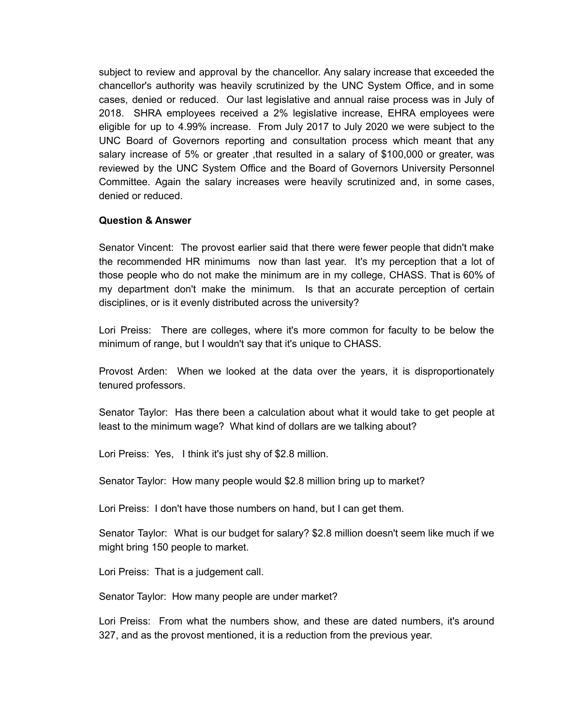subject to review and approval by the chancellor. Any salary increase that exceeded the chancellor's authority was heavily scrutinized by the UNC System Office, and in some cases, denied or reduced. Our last legislative and annual raise process was in July of 2018. SHRA employees received a 2% legislative increase, EHRA employees were eligible for up to 4.99% increase. From July 2017 to July 2020 we were subject to the UNC Board of Governors reporting and consultation process which meant that any salary increase of 5% or greater ,that resulted in a salary of \$100,000 or greater, was reviewed by the UNC System Office and the Board of Governors University Personnel Committee. Again the salary increases were heavily scrutinized and, in some cases, denied or reduced.

#### **Question & Answer**

Senator Vincent: The provost earlier said that there were fewer people that didn't make the recommended HR minimums now than last year. It's my perception that a lot of those people who do not make the minimum are in my college, CHASS. That is 60% of my department don't make the minimum. Is that an accurate perception of certain disciplines, or is it evenly distributed across the university?

Lori Preiss: There are colleges, where it's more common for faculty to be below the minimum of range, but I wouldn't say that it's unique to CHASS.

Provost Arden: When we looked at the data over the years, it is disproportionately tenured professors.

Senator Taylor: Has there been a calculation about what it would take to get people at least to the minimum wage? What kind of dollars are we talking about?

Lori Preiss: Yes, I think it's just shy of \$2.8 million.

Senator Taylor: How many people would \$2.8 million bring up to market?

Lori Preiss: I don't have those numbers on hand, but I can get them.

Senator Taylor: What is our budget for salary? \$2.8 million doesn't seem like much if we might bring 150 people to market.

Lori Preiss: That is a judgement call.

Senator Taylor: How many people are under market?

Lori Preiss: From what the numbers show, and these are dated numbers, it's around 327, and as the provost mentioned, it is a reduction from the previous year.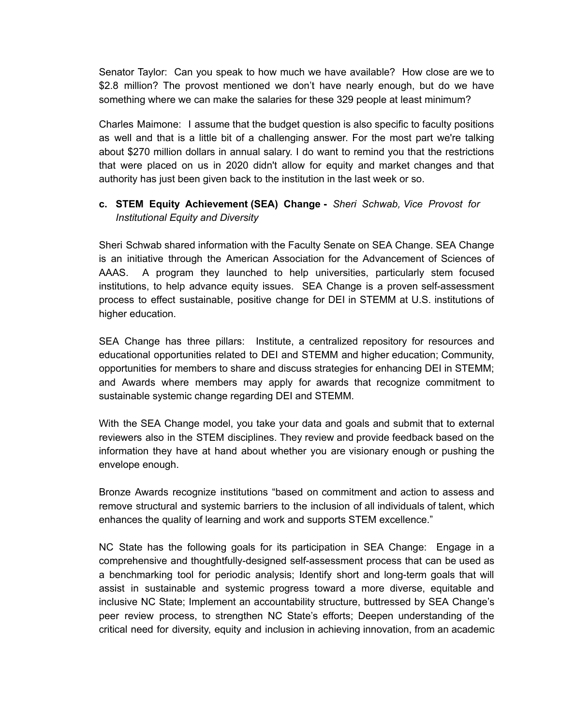Senator Taylor: Can you speak to how much we have available? How close are we to \$2.8 million? The provost mentioned we don't have nearly enough, but do we have something where we can make the salaries for these 329 people at least minimum?

Charles Maimone: I assume that the budget question is also specific to faculty positions as well and that is a little bit of a challenging answer. For the most part we're talking about \$270 million dollars in annual salary. I do want to remind you that the restrictions that were placed on us in 2020 didn't allow for equity and market changes and that authority has just been given back to the institution in the last week or so.

# **c. STEM Equity Achievement (SEA) Change -** *Sheri Schwab, Vice Provost for Institutional Equity and Diversity*

Sheri Schwab shared information with the Faculty Senate on SEA Change. SEA Change is an initiative through the American Association for the Advancement of Sciences of AAAS. A program they launched to help universities, particularly stem focused institutions, to help advance equity issues. SEA Change is a proven self-assessment process to effect sustainable, positive change for DEI in STEMM at U.S. institutions of higher education.

SEA Change has three pillars: Institute, a centralized repository for resources and educational opportunities related to DEI and STEMM and higher education; Community, opportunities for members to share and discuss strategies for enhancing DEI in STEMM; and Awards where members may apply for awards that recognize commitment to sustainable systemic change regarding DEI and STEMM.

With the SEA Change model, you take your data and goals and submit that to external reviewers also in the STEM disciplines. They review and provide feedback based on the information they have at hand about whether you are visionary enough or pushing the envelope enough.

Bronze Awards recognize institutions "based on commitment and action to assess and remove structural and systemic barriers to the inclusion of all individuals of talent, which enhances the quality of learning and work and supports STEM excellence."

NC State has the following goals for its participation in SEA Change: Engage in a comprehensive and thoughtfully-designed self-assessment process that can be used as a benchmarking tool for periodic analysis; Identify short and long-term goals that will assist in sustainable and systemic progress toward a more diverse, equitable and inclusive NC State; Implement an accountability structure, buttressed by SEA Change's peer review process, to strengthen NC State's efforts; Deepen understanding of the critical need for diversity, equity and inclusion in achieving innovation, from an academic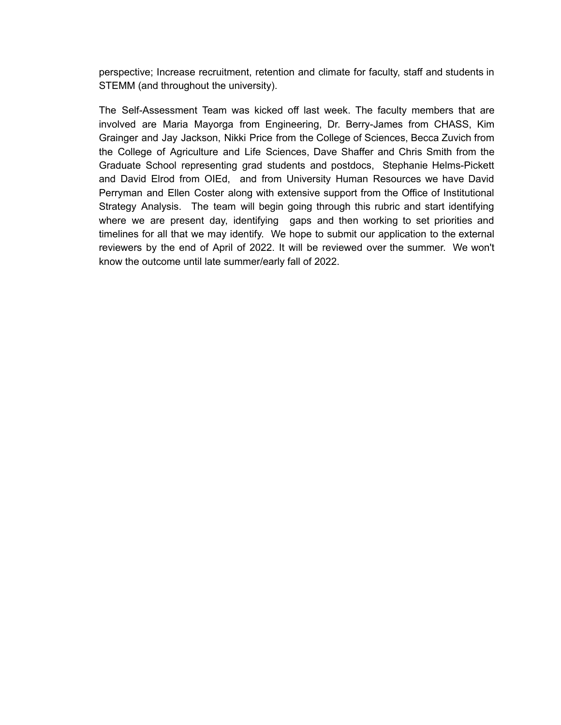perspective; Increase recruitment, retention and climate for faculty, staff and students in STEMM (and throughout the university).

The Self-Assessment Team was kicked off last week. The faculty members that are involved are Maria Mayorga from Engineering, Dr. Berry-James from CHASS, Kim Grainger and Jay Jackson, Nikki Price from the College of Sciences, Becca Zuvich from the College of Agriculture and Life Sciences, Dave Shaffer and Chris Smith from the Graduate School representing grad students and postdocs, Stephanie Helms-Pickett and David Elrod from OIEd, and from University Human Resources we have David Perryman and Ellen Coster along with extensive support from the Office of Institutional Strategy Analysis. The team will begin going through this rubric and start identifying where we are present day, identifying gaps and then working to set priorities and timelines for all that we may identify. We hope to submit our application to the external reviewers by the end of April of 2022. It will be reviewed over the summer. We won't know the outcome until late summer/early fall of 2022.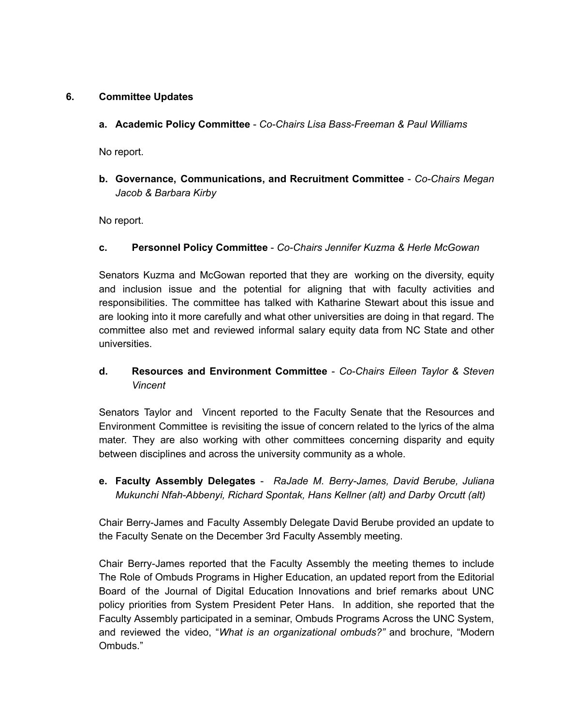## **6. Committee Updates**

**a. Academic Policy Committee** - *Co-Chairs Lisa Bass-Freeman & Paul Williams*

No report.

**b. Governance, Communications, and Recruitment Committee** - *Co-Chairs Megan Jacob & Barbara Kirby*

No report.

### **c. Personnel Policy Committee** - *Co-Chairs Jennifer Kuzma & Herle McGowan*

Senators Kuzma and McGowan reported that they are working on the diversity, equity and inclusion issue and the potential for aligning that with faculty activities and responsibilities. The committee has talked with Katharine Stewart about this issue and are looking into it more carefully and what other universities are doing in that regard. The committee also met and reviewed informal salary equity data from NC State and other universities.

**d. Resources and Environment Committee** - *Co-Chairs Eileen Taylor & Steven Vincent*

Senators Taylor and Vincent reported to the Faculty Senate that the Resources and Environment Committee is revisiting the issue of concern related to the lyrics of the alma mater. They are also working with other committees concerning disparity and equity between disciplines and across the university community as a whole.

**e. Faculty Assembly Delegates** - *RaJade M. Berry-James, David Berube, Juliana Mukunchi Nfah-Abbenyi, Richard Spontak, Hans Kellner (alt) and Darby Orcutt (alt)*

Chair Berry-James and Faculty Assembly Delegate David Berube provided an update to the Faculty Senate on the December 3rd Faculty Assembly meeting.

Chair Berry-James reported that the Faculty Assembly the meeting themes to include The Role of Ombuds Programs in Higher Education, an updated report from the Editorial Board of the Journal of Digital Education Innovations and brief remarks about UNC policy priorities from System President Peter Hans. In addition, she reported that the Faculty Assembly participated in a seminar, Ombuds Programs Across the UNC System, and reviewed the video, "*What is an organizational ombuds?"* and brochure, "Modern Ombuds."